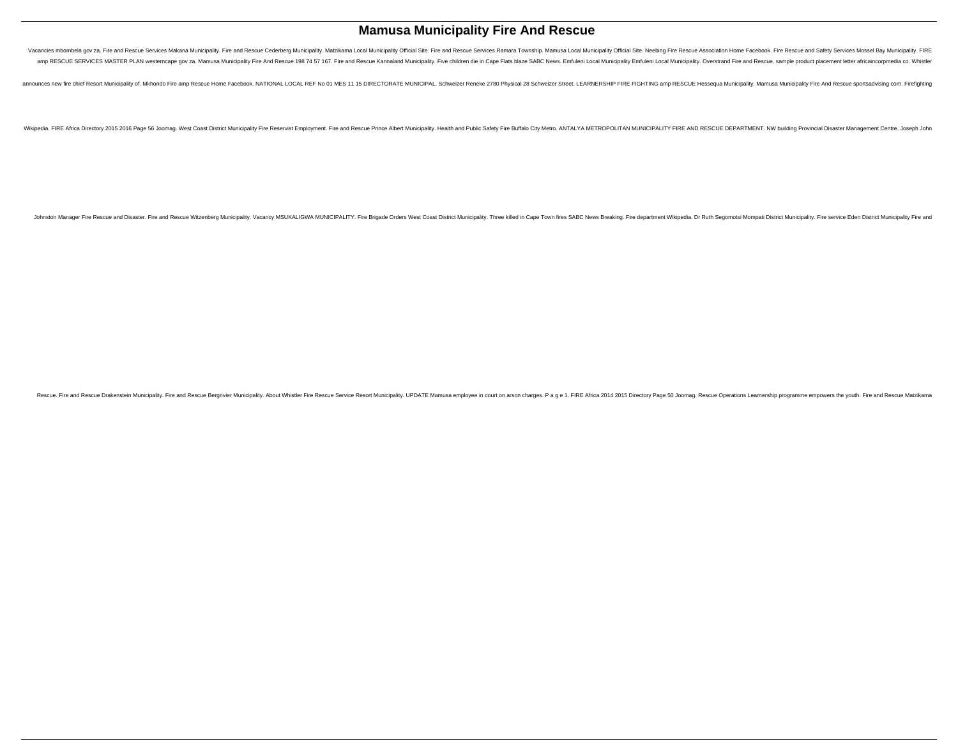# **Mamusa Municipality Fire And Rescue**

Vacancies mbombela gov za. Fire and Rescue Services Makana Municipality. Fire and Rescue Cederberg Municipality. Matzikama Local Municipality Official Site. Fire and Rescue Services Ramara Township. Mamusa Local Municipali amp RESCUE SERVICES MASTER PLAN westerncape gov za. Mamusa Municipality Fire And Rescue 198 74 57 167. Fire and Rescue 198 74 57 167. Fire and Rescue Kannaland Municipality. Five children die in Cape Flats blaze SABC News.

announces new fire chief Resort Municipality of. Mkhondo Fire amp Rescue Home Facebook. NATIONAL LOCAL REF No 01 MES 11 15 DIRECTORATE MUNICIPAL. Schweizer Reneke 2780 Physical 28 Schweizer Street. LEARNERSHIP FIRE FIGHTIN

Wikipedia. FIRE Africa Directory 2015 2016 Page 56 Joomag. West Coast District Municipality Fire Reservist Employment. Fire and Rescue Prince Albert Municipality. Health and Public Safety Fire Buffalo City Metro. ANTALYA M

Johnston Manager Fire Rescue and Disaster. Fire and Rescue Witzenberg Municipality. Vacancy MSUKALIGWA MUNICIPALITY. Fire Brigade Orders West Coast District Municipality. Three killed in Cape Town fires SABC News Breaking.

Rescue. Fire and Rescue Drakenstein Municipality. Fire and Rescue Bergrivier Municipality. About Whistler Fire Rescue Service Resort Municipality. UPDATE Mamusa employee in court on arson charges. P a g e 1. FIRE Africa 20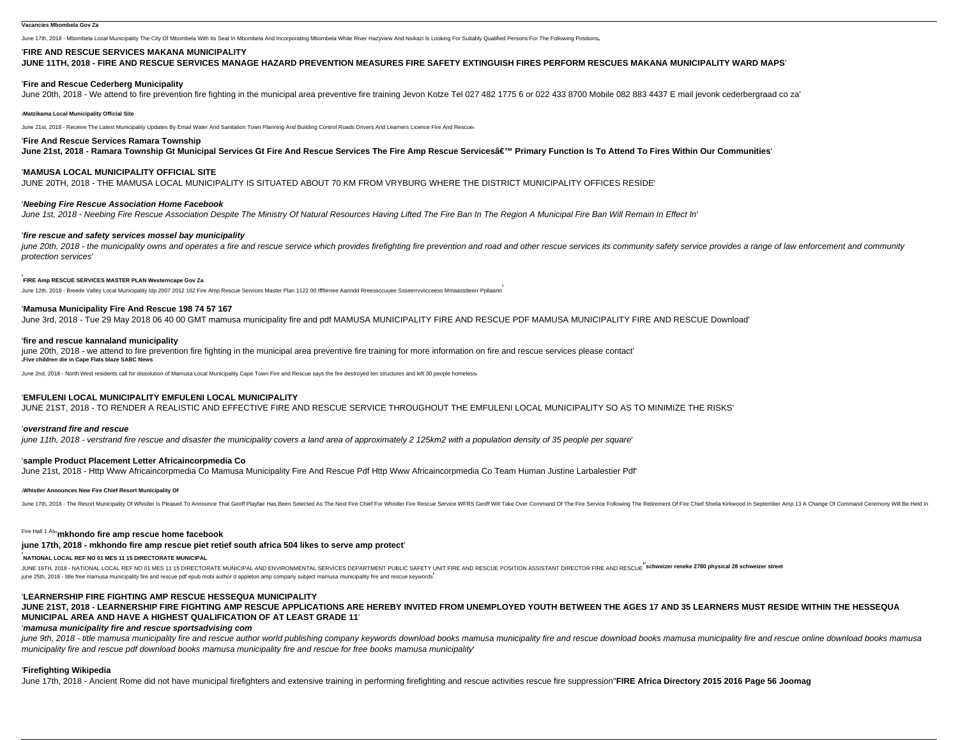June 17th, 2018 - Mbombela Local Municipality The City Of Mbombela With Its Seat In Mbombela And Incorporating Mbombela White River Hazyview And Nsikazi Is Looking For Suitably Qualified Persons For The Following Positions

## '**FIRE AND RESCUE SERVICES MAKANA MUNICIPALITY**

**JUNE 11TH, 2018 - FIRE AND RESCUE SERVICES MANAGE HAZARD PREVENTION MEASURES FIRE SAFETY EXTINGUISH FIRES PERFORM RESCUES MAKANA MUNICIPALITY WARD MAPS**'

### '**Fire and Rescue Cederberg Municipality**

June 20th, 2018 - We attend to fire prevention fire fighting in the municipal area preventive fire training Jevon Kotze Tel 027 482 1775 6 or 022 433 8700 Mobile 082 883 4437 E mail jevonk cederbergraad co za'

#### '**Matzikama Local Municipality Official Site**

June 21st, 2018 - Receive The Latest Municipality Updates By Email Water And Sanitation Town Planning And Building Control Roads Drivers And Learners Licence Fire And Rescue

june 20th, 2018 - the municipality owns and operates a fire and rescue service which provides firefighting fire prevention and road and other rescue services its community safety service provides a range of law enforcement protection services'

# '**Fire And Rescue Services Ramara Township**

June 21st, 2018 - Ramara Township Gt Municipal Services Gt Fire And Rescue Services The Fire Amp Rescue Services' Primary Function Is To Attend To Fires Within Our Communities'

### '**MAMUSA LOCAL MUNICIPALITY OFFICIAL SITE**

JUNE 20TH, 2018 - THE MAMUSA LOCAL MUNICIPALITY IS SITUATED ABOUT 70 KM FROM VRYBURG WHERE THE DISTRICT MUNICIPALITY OFFICES RESIDE'

## '**Neebing Fire Rescue Association Home Facebook**

June 1st, 2018 - Neebing Fire Rescue Association Despite The Ministry Of Natural Resources Having Lifted The Fire Ban In The Region A Municipal Fire Ban Will Remain In Effect In'

### '**fire rescue and safety services mossel bay municipality**

# '**FIRE Amp RESCUE SERVICES MASTER PLAN Westerncape Gov Za**

June 12th, 2018 - Breede Valley Local Municipality Idp 2007 2012 162 Fire Amp Rescue Services Master Plan 1122 00 Ifffiirrree Aanndd Rreessccuuee Ssseerrvviicceess Mmaasstteerr Ppllaann

### '**Mamusa Municipality Fire And Rescue 198 74 57 167**

June 3rd, 2018 - Tue 29 May 2018 06 40 00 GMT mamusa municipality fire and pdf MAMUSA MUNICIPALITY FIRE AND MAMUSA MUNICIPALITY FIRE AND RESCUE Download'

JUNE 16TH, 2018 - NATIONAL LOCAL REF NO 01 MES 11 15 DIRECTORATE MUNICIPAL AND ENVIRONMENTAL SERVICES DEPARTMENT PUBLIC SAFETY UNIT FIRE AND RESCUE POSITION ASSISTANT DIRECTOR FIRE AND RESCUE Schweizer reneke 2780 physical june 25th, 2018 - title free mamusa municipality fire and rescue pdf epub mobi author d appleton amp company subject mamusa municipality fire and rescue keywords'

### '**fire and rescue kannaland municipality**

june 20th, 2018 - we attend to fire prevention fire fighting in the municipal area preventive fire training for more information on fire and rescue services please contact' '**Five children die in Cape Flats blaze SABC News**

June 2nd, 2018 - North West residents call for dissolution of Mamusa Local Municipality Cape Town Fire and Rescue says the fire destroyed ten structures and left 30 people homeless

june 9th, 2018 - title mamusa municipality fire and rescue author world publishing company keywords download books mamusa municipality fire and rescue download books mamusa municipality fire and rescue online download book municipality fire and rescue pdf download books mamusa municipality fire and rescue for free books mamusa municipality'

# '**EMFULENI LOCAL MUNICIPALITY EMFULENI LOCAL MUNICIPALITY**

JUNE 21ST, 2018 - TO RENDER A REALISTIC AND EFFECTIVE FIRE AND RESCUE SERVICE THROUGHOUT THE EMFULENI LOCAL MUNICIPALITY SO AS TO MINIMIZE THE RISKS'

### '**overstrand fire and rescue**

june 11th, 2018 - verstrand fire rescue and disaster the municipality covers a land area of approximately 2 125km2 with a population density of 35 people per square

# '**sample Product Placement Letter Africaincorpmedia Co**

June 21st, 2018 - Http Www Africaincorpmedia Co Mamusa Municipality Fire And Rescue Pdf Http Www Africaincorpmedia Co Team Human Justine Larbalestier Pdf'

#### '**Whistler Announces New Fire Chief Resort Municipality Of**

June 17th. 2018 - The Resort Municipality Of Whistler Is Pleased To Announce That Geoff Playfair Has Been Selected As The Next Fire Chief For Whistle Price Rescue Service WFRS Geoff Will Take Over Command Of The Fire Servi

# Fire Hall 1 At''**mkhondo fire amp rescue home facebook**

#### **june 17th, 2018 - mkhondo fire amp rescue piet retief south africa 504 likes to serve amp protect**'

# '**NATIONAL LOCAL REF NO 01 MES 11 15 DIRECTORATE MUNICIPAL**

# '**LEARNERSHIP FIRE FIGHTING AMP RESCUE HESSEQUA MUNICIPALITY**

**JUNE 21ST, 2018 - LEARNERSHIP FIRE FIGHTING AMP RESCUE APPLICATIONS ARE HEREBY INVITED FROM UNEMPLOYED YOUTH BETWEEN THE AGES 17 AND 35 LEARNERS MUST RESIDE WITHIN THE HESSEQUA MUNICIPAL AREA AND HAVE A HIGHEST QUALIFICATION OF AT LEAST GRADE 11**'

# '**mamusa municipality fire and rescue sportsadvising com**

# '**Firefighting Wikipedia**

June 17th, 2018 - Ancient Rome did not have municipal firefighters and extensive training in performing firefighting and rescue activities rescue fire suppression''**FIRE Africa Directory 2015 2016 Page 56 Joomag**